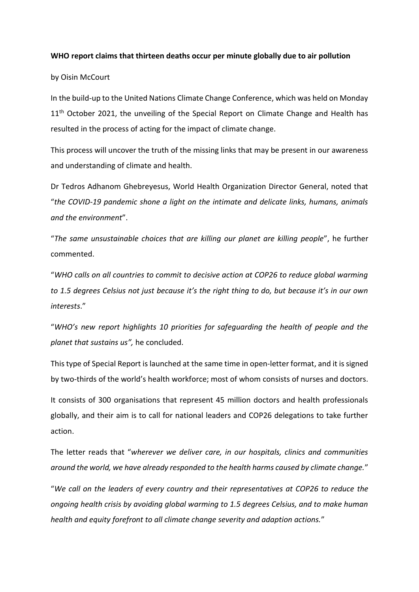## **WHO report claims that thirteen deaths occur per minute globally due to air pollution**

by Oisin McCourt

In the build-up to the United Nations Climate Change Conference, which was held on Monday 11<sup>th</sup> October 2021, the unveiling of the Special Report on Climate Change and Health has resulted in the process of acting for the impact of climate change.

This process will uncover the truth of the missing links that may be present in our awareness and understanding of climate and health.

Dr Tedros Adhanom Ghebreyesus, World Health Organization Director General, noted that "*the COVID-19 pandemic shone a light on the intimate and delicate links, humans, animals and the environment*".

"*The same unsustainable choices that are killing our planet are killing people*", he further commented.

"*WHO calls on all countries to commit to decisive action at COP26 to reduce global warming to 1.5 degrees Celsius not just because it's the right thing to do, but because it's in our own interests*."

"*WHO's new report highlights 10 priorities for safeguarding the health of people and the planet that sustains us",* he concluded.

This type of Special Report is launched at the same time in open-letter format, and it is signed by two-thirds of the world's health workforce; most of whom consists of nurses and doctors.

It consists of 300 organisations that represent 45 million doctors and health professionals globally, and their aim is to call for national leaders and COP26 delegations to take further action.

The letter reads that "*wherever we deliver care, in our hospitals, clinics and communities around the world, we have already responded to the health harms caused by climate change.*"

"*We call on the leaders of every country and their representatives at COP26 to reduce the ongoing health crisis by avoiding global warming to 1.5 degrees Celsius, and to make human health and equity forefront to all climate change severity and adaption actions.*"